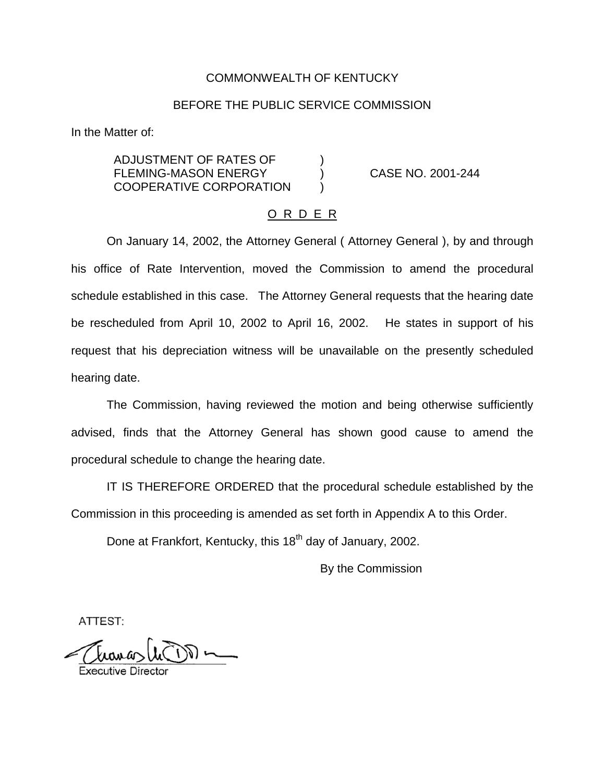### COMMONWEALTH OF KENTUCKY

## BEFORE THE PUBLIC SERVICE COMMISSION

In the Matter of:

ADJUSTMENT OF RATES OF ) FLEMING-MASON ENERGY (CASE NO. 2001-244 COOPERATIVE CORPORATION

#### O R D E R

On January 14, 2002, the Attorney General ( Attorney General ), by and through his office of Rate Intervention, moved the Commission to amend the procedural schedule established in this case. The Attorney General requests that the hearing date be rescheduled from April 10, 2002 to April 16, 2002. He states in support of his request that his depreciation witness will be unavailable on the presently scheduled hearing date.

The Commission, having reviewed the motion and being otherwise sufficiently advised, finds that the Attorney General has shown good cause to amend the procedural schedule to change the hearing date.

IT IS THEREFORE ORDERED that the procedural schedule established by the Commission in this proceeding is amended as set forth in Appendix A to this Order.

Done at Frankfort, Kentucky, this 18<sup>th</sup> day of January, 2002.

By the Commission

ATTEST: